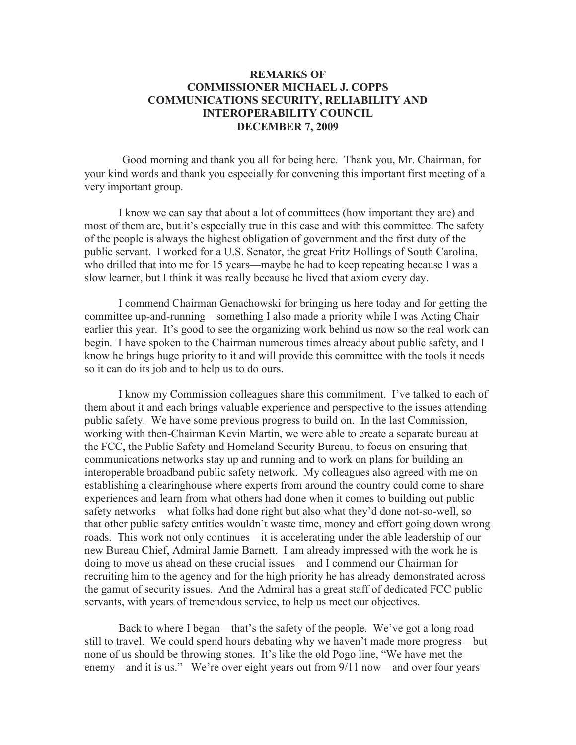## **REMARKS OF COMMISSIONER MICHAEL J. COPPS COMMUNICATIONS SECURITY, RELIABILITY AND INTEROPERABILITY COUNCIL DECEMBER 7, 2009**

Good morning and thank you all for being here. Thank you, Mr. Chairman, for your kind words and thank you especially for convening this important first meeting of a very important group.

I know we can say that about a lot of committees (how important they are) and most of them are, but it's especially true in this case and with this committee. The safety of the people is always the highest obligation of government and the first duty of the public servant. I worked for a U.S. Senator, the great Fritz Hollings of South Carolina, who drilled that into me for 15 years—maybe he had to keep repeating because I was a slow learner, but I think it was really because he lived that axiom every day.

I commend Chairman Genachowski for bringing us here today and for getting the committee up-and-running—something I also made a priority while I was Acting Chair earlier this year. It's good to see the organizing work behind us now so the real work can begin. I have spoken to the Chairman numerous times already about public safety, and I know he brings huge priority to it and will provide this committee with the tools it needs so it can do its job and to help us to do ours.

I know my Commission colleagues share this commitment. I've talked to each of them about it and each brings valuable experience and perspective to the issues attending public safety. We have some previous progress to build on. In the last Commission, working with then-Chairman Kevin Martin, we were able to create a separate bureau at the FCC, the Public Safety and Homeland Security Bureau, to focus on ensuring that communications networks stay up and running and to work on plans for building an interoperable broadband public safety network. My colleagues also agreed with me on establishing a clearinghouse where experts from around the country could come to share experiences and learn from what others had done when it comes to building out public safety networks—what folks had done right but also what they'd done not-so-well, so that other public safety entities wouldn't waste time, money and effort going down wrong roads. This work not only continues—it is accelerating under the able leadership of our new Bureau Chief, Admiral Jamie Barnett. I am already impressed with the work he is doing to move us ahead on these crucial issues—and I commend our Chairman for recruiting him to the agency and for the high priority he has already demonstrated across the gamut of security issues. And the Admiral has a great staff of dedicated FCC public servants, with years of tremendous service, to help us meet our objectives.

Back to where I began—that's the safety of the people. We've got a long road still to travel. We could spend hours debating why we haven't made more progress—but none of us should be throwing stones. It's like the old Pogo line, "We have met the enemy—and it is us." We're over eight years out from 9/11 now—and over four years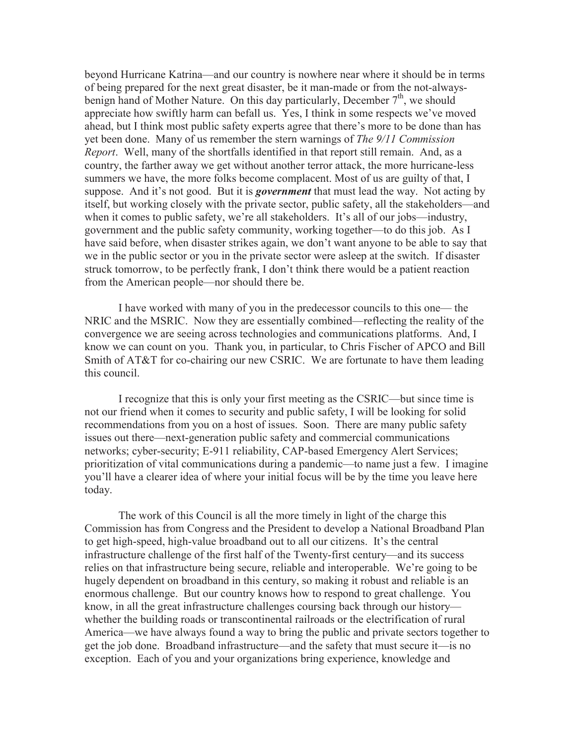beyond Hurricane Katrina—and our country is nowhere near where it should be in terms of being prepared for the next great disaster, be it man-made or from the not-alwaysbenign hand of Mother Nature. On this day particularly, December  $7<sup>th</sup>$ , we should appreciate how swiftly harm can befall us. Yes, I think in some respects we've moved ahead, but I think most public safety experts agree that there's more to be done than has yet been done. Many of us remember the stern warnings of *The 9/11 Commission Report*. Well, many of the shortfalls identified in that report still remain. And, as a country, the farther away we get without another terror attack, the more hurricane-less summers we have, the more folks become complacent. Most of us are guilty of that, I suppose. And it's not good. But it is *government* that must lead the way. Not acting by itself, but working closely with the private sector, public safety, all the stakeholders—and when it comes to public safety, we're all stakeholders. It's all of our jobs—industry, government and the public safety community, working together—to do this job. As I have said before, when disaster strikes again, we don't want anyone to be able to say that we in the public sector or you in the private sector were asleep at the switch. If disaster struck tomorrow, to be perfectly frank, I don't think there would be a patient reaction from the American people—nor should there be.

I have worked with many of you in the predecessor councils to this one— the NRIC and the MSRIC. Now they are essentially combined—reflecting the reality of the convergence we are seeing across technologies and communications platforms. And, I know we can count on you. Thank you, in particular, to Chris Fischer of APCO and Bill Smith of AT&T for co-chairing our new CSRIC. We are fortunate to have them leading this council.

I recognize that this is only your first meeting as the CSRIC—but since time is not our friend when it comes to security and public safety, I will be looking for solid recommendations from you on a host of issues. Soon. There are many public safety issues out there—next-generation public safety and commercial communications networks; cyber-security; E-911 reliability, CAP-based Emergency Alert Services; prioritization of vital communications during a pandemic—to name just a few. I imagine you'll have a clearer idea of where your initial focus will be by the time you leave here today.

The work of this Council is all the more timely in light of the charge this Commission has from Congress and the President to develop a National Broadband Plan to get high-speed, high-value broadband out to all our citizens. It's the central infrastructure challenge of the first half of the Twenty-first century—and its success relies on that infrastructure being secure, reliable and interoperable. We're going to be hugely dependent on broadband in this century, so making it robust and reliable is an enormous challenge. But our country knows how to respond to great challenge. You know, in all the great infrastructure challenges coursing back through our history whether the building roads or transcontinental railroads or the electrification of rural America—we have always found a way to bring the public and private sectors together to get the job done. Broadband infrastructure—and the safety that must secure it—is no exception. Each of you and your organizations bring experience, knowledge and